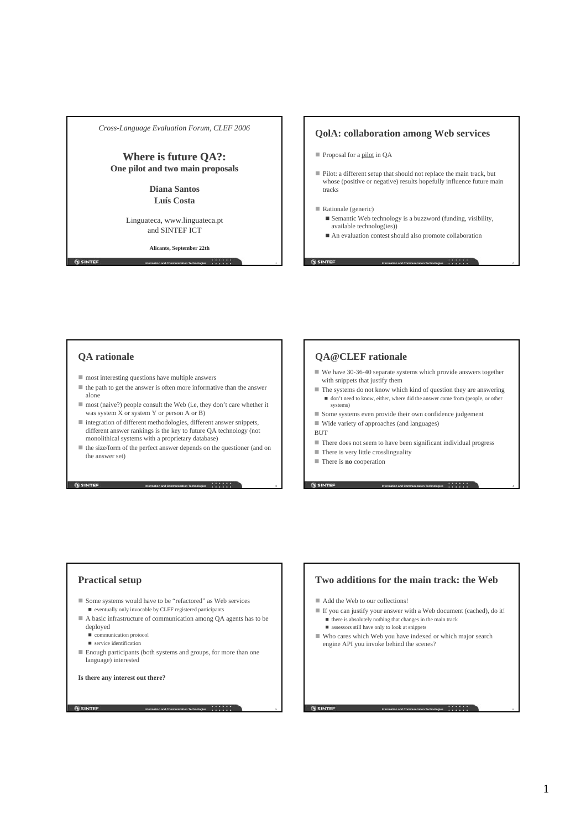*Cross-Language Evaluation Forum, CLEF 2006*

# **Where is future QA?: is future QA?: One pilot and two main proposals One pilot and two main**

**Diana Santos Luís Costa**

Linguateca, www.linguateca.pt and SINTEF ICT

**Alicante, September 22th**

**Information and Communication Technologies** 1

## **QolA: collaboration among Web services**

- Proposal for a pilot in QA
- Pilot: a different setup that should not replace the main track, but whose (positive or negative) results hopefully influence future main tracks

### Rationale (generic)

**G** SINTEF

 $\blacksquare$  Semantic Web technology is a buzzword (funding, visibility, available technolog(ies))

**Information and Communication Technologies** 2

**Information and Communication Technologies** 4

■ An evaluation contest should also promote collaboration

## **QA rationale**

**G SINTEF** 

- $\blacksquare$  most interesting questions have multiple answers
- $\blacksquare$  the path to get the answer is often more informative than the answer alone
- most (naive?) people consult the Web (i.e, they don't care whether it was system X or system Y or person A or B)
- integration of different methodologies, different answer snippets, different answer rankings is the key to future QA technology (not monolithical systems with a proprietary database)
- the size/form of the perfect answer depends on the questioner (and on the answer set)

**Information and Communication Technologies** 3 3 4 3 4 5 1 2 2 3 3 4 4 5  $\pm$  3 3 4 5  $\pm$  3 5  $\pm$  3 5  $\pm$  3 5  $\pm$  3 5  $\pm$  3 5  $\pm$  3 5  $\pm$  3 5  $\pm$  3 5  $\pm$  3 5  $\pm$  3 5  $\pm$  3  $\pm$  3  $\pm$  3  $\pm$  3  $\pm$  3  $\pm$  3  $\pm$ 

**Information and Communication Technologies** 5

# **QA@CLEF rationale**

- We have 30-36-40 separate systems which provide answers together with snippets that justify them
- $\blacksquare$  <br> The systems do not know which kind of question they are answering don't need to know, either, where did the answer came from (people, or other systems)
- Some systems even provide their own confidence judgement
- Wide variety of approaches (and languages)
- **BUT**
- There does not seem to have been significant individual progress
- There is very little crosslinguality
- There is **no** cooperation

# **Practical setup**

- Some systems would have to be "refactored" as Web services  $\blacksquare$  eventually only invocable by CLEF registered participants
- A basic infrastructure of communication among QA agents has to be deployed
	- communication protocol
	- service identification
- Enough participants (both systems and groups, for more than one language) interested

**Is there any interest out there?**

**SINTEF** 

# **Two additions for the main track: the Web**

- Add the Web to our collections!
- If you can justify your answer with a Web document (cached), do it!  $\blacksquare$  there is absolutely nothing that changes in the main track
	- $\blacksquare$  assessors still have only to look at snippets
- Who cares which Web you have indexed or which major search engine API you invoke behind the scenes?

#### **Information and Communication Technologies** 6